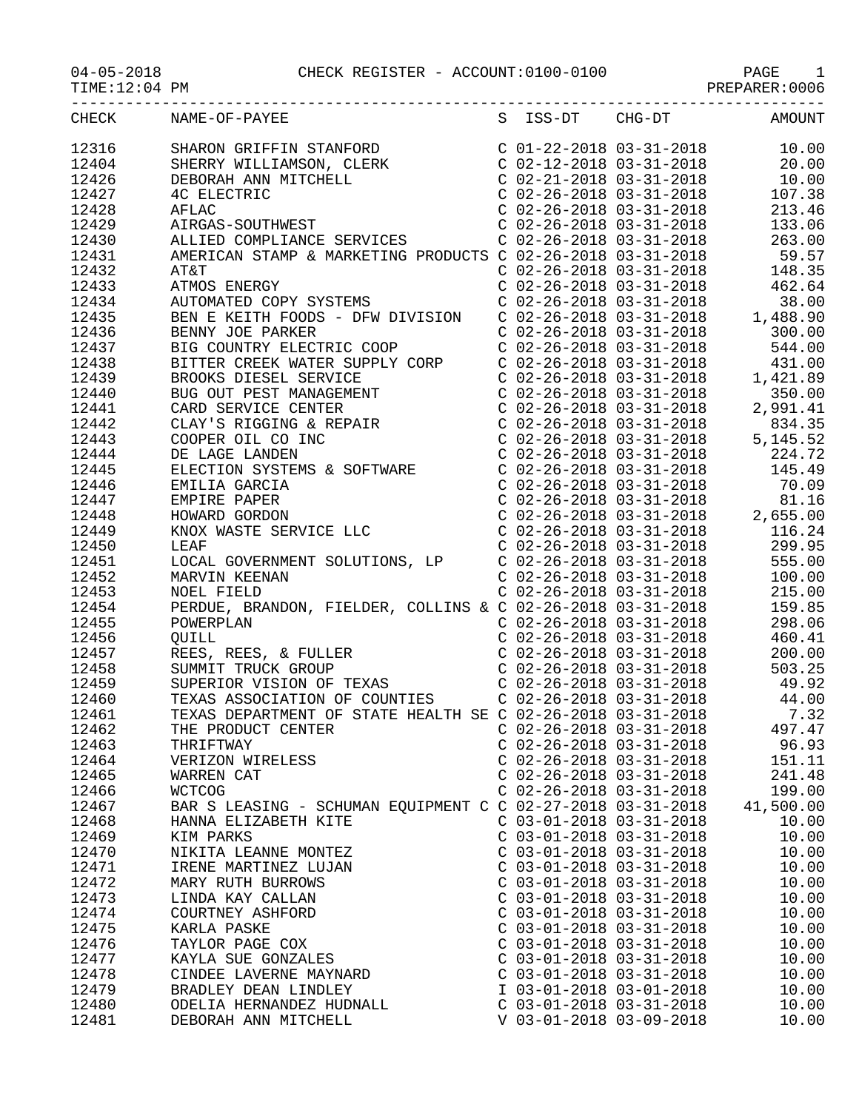04-05-2018<br>TIME:12:04 PM

## CHECK REGISTER - ACCOUNT:0100-0100 PAGE 1<br>PREPARER:0006

| CHECK | NAME-OF-PAYEE                                                                                                                                                                                                                                                                                                                                         |                           |                           | S ISS-DT CHG-DT AMOUNT |
|-------|-------------------------------------------------------------------------------------------------------------------------------------------------------------------------------------------------------------------------------------------------------------------------------------------------------------------------------------------------------|---------------------------|---------------------------|------------------------|
| 12316 | SHARON GRIFFIN STANFORD<br>SHERRY WILLIAMSON, CLERK<br>C 02-12-2018 03-31-2018<br>C 02-12-2018 03-31-2018<br>C 02-21-2018 03-31-2018<br>C 02-26-2018 03-31-2018<br>C 02-26-2018 03-31-2018<br>C 02-26-2018 03-31-2018<br>C 02-26-2018 03-31-20                                                                                                        |                           |                           |                        |
| 12404 |                                                                                                                                                                                                                                                                                                                                                       |                           |                           |                        |
| 12426 |                                                                                                                                                                                                                                                                                                                                                       |                           |                           |                        |
| 12427 |                                                                                                                                                                                                                                                                                                                                                       |                           |                           |                        |
| 12428 |                                                                                                                                                                                                                                                                                                                                                       |                           |                           |                        |
|       |                                                                                                                                                                                                                                                                                                                                                       |                           |                           |                        |
| 12429 |                                                                                                                                                                                                                                                                                                                                                       |                           |                           |                        |
| 12430 |                                                                                                                                                                                                                                                                                                                                                       |                           |                           |                        |
| 12431 |                                                                                                                                                                                                                                                                                                                                                       |                           |                           |                        |
| 12432 |                                                                                                                                                                                                                                                                                                                                                       |                           |                           |                        |
| 12433 |                                                                                                                                                                                                                                                                                                                                                       |                           |                           |                        |
| 12434 |                                                                                                                                                                                                                                                                                                                                                       |                           |                           |                        |
| 12435 |                                                                                                                                                                                                                                                                                                                                                       |                           |                           |                        |
| 12436 |                                                                                                                                                                                                                                                                                                                                                       |                           |                           |                        |
| 12437 |                                                                                                                                                                                                                                                                                                                                                       |                           |                           |                        |
| 12438 |                                                                                                                                                                                                                                                                                                                                                       |                           |                           |                        |
| 12439 |                                                                                                                                                                                                                                                                                                                                                       |                           |                           |                        |
| 12440 |                                                                                                                                                                                                                                                                                                                                                       |                           |                           |                        |
| 12441 |                                                                                                                                                                                                                                                                                                                                                       |                           |                           |                        |
| 12442 |                                                                                                                                                                                                                                                                                                                                                       |                           |                           |                        |
| 12443 |                                                                                                                                                                                                                                                                                                                                                       |                           |                           |                        |
| 12444 |                                                                                                                                                                                                                                                                                                                                                       |                           |                           |                        |
| 12445 |                                                                                                                                                                                                                                                                                                                                                       |                           |                           |                        |
| 12446 |                                                                                                                                                                                                                                                                                                                                                       |                           |                           |                        |
| 12447 |                                                                                                                                                                                                                                                                                                                                                       |                           |                           |                        |
| 12448 |                                                                                                                                                                                                                                                                                                                                                       |                           |                           |                        |
| 12449 |                                                                                                                                                                                                                                                                                                                                                       |                           |                           |                        |
| 12450 |                                                                                                                                                                                                                                                                                                                                                       |                           |                           |                        |
|       |                                                                                                                                                                                                                                                                                                                                                       |                           |                           |                        |
| 12451 |                                                                                                                                                                                                                                                                                                                                                       |                           |                           |                        |
| 12452 |                                                                                                                                                                                                                                                                                                                                                       |                           |                           |                        |
| 12453 | $\begin{tabular}{l c c c c c} \textbf{AMERICAN STAMP} & \textbf{\&} \textbf{MARKETING PRODICTS} & C & 02-26-2018 & 03-31-2018 & 59.57\\ \textbf{ATMOS ENBERCY} & C & 02-26-2018 & 03-31-2018 & 462.64\\ \textbf{ADTONATED ODY STSEMS} & C & 02-26-2018 & 03-31-2018 & 462.64\\ \textbf{BBN B KEITH F OODS - DFW DIVISION} & C & 02-26-2018 & 03-31-2$ |                           |                           |                        |
| 12454 |                                                                                                                                                                                                                                                                                                                                                       |                           |                           |                        |
| 12455 |                                                                                                                                                                                                                                                                                                                                                       |                           |                           |                        |
| 12456 | PERIOR, BRANDON, FIEDER, COBERT, COMPROVER (SEE 2018) 03-31-2018<br>C 02-26-2018 03-31-2018<br>REES, REES, & FULLER<br>C 02-26-2018 03-31-2018<br>C 02-26-2018 03-31-2018<br>C 02-26-2018 03-31-2018<br>C 02-26-2018 03-31-2018<br>SUPERIOR                                                                                                           |                           |                           |                        |
| 12457 |                                                                                                                                                                                                                                                                                                                                                       |                           |                           |                        |
| 12458 |                                                                                                                                                                                                                                                                                                                                                       |                           |                           |                        |
| 12459 |                                                                                                                                                                                                                                                                                                                                                       |                           |                           |                        |
| 12460 |                                                                                                                                                                                                                                                                                                                                                       |                           |                           |                        |
| 12461 |                                                                                                                                                                                                                                                                                                                                                       |                           |                           |                        |
| 12462 | THE PRODUCT CENTER                                                                                                                                                                                                                                                                                                                                    |                           | $C$ 02-26-2018 03-31-2018 | 497.47                 |
| 12463 | THRIFTWAY                                                                                                                                                                                                                                                                                                                                             | $C$ 02-26-2018 03-31-2018 |                           | 96.93                  |
| 12464 | VERIZON WIRELESS                                                                                                                                                                                                                                                                                                                                      | $C$ 02-26-2018 03-31-2018 |                           | 151.11                 |
| 12465 | WARREN CAT                                                                                                                                                                                                                                                                                                                                            | $C$ 02-26-2018 03-31-2018 |                           | 241.48                 |
| 12466 | <b>WCTCOG</b>                                                                                                                                                                                                                                                                                                                                         | $C$ 02-26-2018 03-31-2018 |                           | 199.00                 |
| 12467 | BAR S LEASING - SCHUMAN EQUIPMENT C C 02-27-2018 03-31-2018                                                                                                                                                                                                                                                                                           |                           |                           | 41,500.00              |
| 12468 | HANNA ELIZABETH KITE                                                                                                                                                                                                                                                                                                                                  | $C$ 03-01-2018 03-31-2018 |                           | 10.00                  |
| 12469 | KIM PARKS                                                                                                                                                                                                                                                                                                                                             | $C$ 03-01-2018 03-31-2018 |                           | 10.00                  |
| 12470 | NIKITA LEANNE MONTEZ                                                                                                                                                                                                                                                                                                                                  | $C$ 03-01-2018 03-31-2018 |                           | 10.00                  |
| 12471 | IRENE MARTINEZ LUJAN                                                                                                                                                                                                                                                                                                                                  | C 03-01-2018 03-31-2018   |                           | 10.00                  |
| 12472 | MARY RUTH BURROWS                                                                                                                                                                                                                                                                                                                                     | $C$ 03-01-2018 03-31-2018 |                           | 10.00                  |
| 12473 | LINDA KAY CALLAN                                                                                                                                                                                                                                                                                                                                      | $C$ 03-01-2018 03-31-2018 |                           | 10.00                  |
| 12474 | COURTNEY ASHFORD                                                                                                                                                                                                                                                                                                                                      | $C$ 03-01-2018 03-31-2018 |                           | 10.00                  |
| 12475 |                                                                                                                                                                                                                                                                                                                                                       | $C$ 03-01-2018 03-31-2018 |                           |                        |
|       | KARLA PASKE                                                                                                                                                                                                                                                                                                                                           |                           |                           | 10.00                  |
| 12476 | TAYLOR PAGE COX                                                                                                                                                                                                                                                                                                                                       | $C$ 03-01-2018 03-31-2018 |                           | 10.00                  |
| 12477 | KAYLA SUE GONZALES                                                                                                                                                                                                                                                                                                                                    | $C$ 03-01-2018 03-31-2018 |                           | 10.00                  |
| 12478 | CINDEE LAVERNE MAYNARD                                                                                                                                                                                                                                                                                                                                | $C$ 03-01-2018 03-31-2018 |                           | 10.00                  |
| 12479 | BRADLEY DEAN LINDLEY                                                                                                                                                                                                                                                                                                                                  | I 03-01-2018 03-01-2018   |                           | 10.00                  |
| 12480 | ODELIA HERNANDEZ HUDNALL                                                                                                                                                                                                                                                                                                                              | $C$ 03-01-2018 03-31-2018 |                           | 10.00                  |
| 12481 | DEBORAH ANN MITCHELL                                                                                                                                                                                                                                                                                                                                  | V 03-01-2018 03-09-2018   |                           | 10.00                  |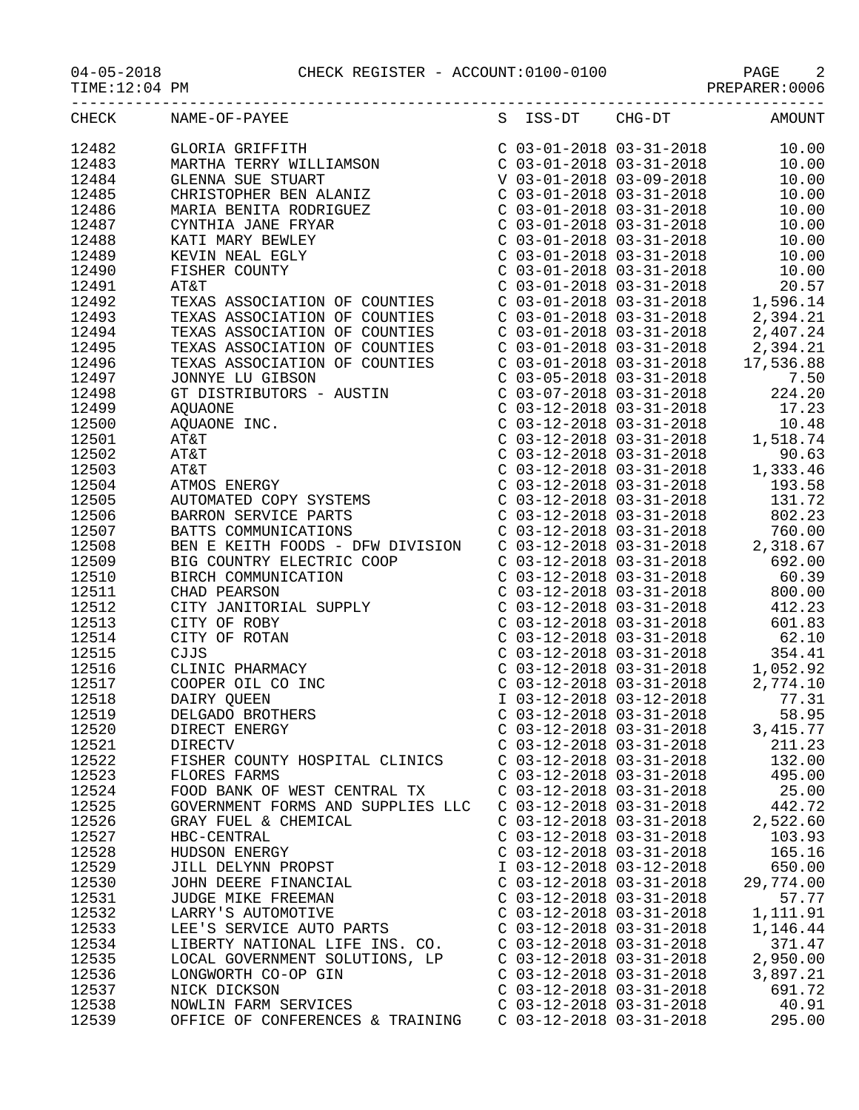04-05-2018 CHECK REGISTER - ACCOUNT:0100-0100 PAGE 2

|       | CHECK NAME-OF-PAYEE<br>S ISS-DT CHG-DT AMOUNT                                                                                                                                                                                                     |                             |                           |           |
|-------|---------------------------------------------------------------------------------------------------------------------------------------------------------------------------------------------------------------------------------------------------|-----------------------------|---------------------------|-----------|
| 12482 |                                                                                                                                                                                                                                                   |                             |                           |           |
| 12483 |                                                                                                                                                                                                                                                   |                             |                           |           |
| 12484 |                                                                                                                                                                                                                                                   |                             |                           |           |
| 12485 |                                                                                                                                                                                                                                                   |                             |                           |           |
| 12486 |                                                                                                                                                                                                                                                   |                             |                           |           |
| 12487 |                                                                                                                                                                                                                                                   |                             |                           |           |
| 12488 |                                                                                                                                                                                                                                                   |                             |                           |           |
| 12489 |                                                                                                                                                                                                                                                   |                             |                           |           |
| 12490 |                                                                                                                                                                                                                                                   |                             |                           |           |
| 12491 |                                                                                                                                                                                                                                                   |                             |                           |           |
| 12492 |                                                                                                                                                                                                                                                   |                             |                           |           |
| 12493 |                                                                                                                                                                                                                                                   |                             |                           |           |
| 12494 |                                                                                                                                                                                                                                                   |                             |                           |           |
| 12495 |                                                                                                                                                                                                                                                   |                             |                           |           |
| 12496 |                                                                                                                                                                                                                                                   |                             |                           |           |
| 12497 |                                                                                                                                                                                                                                                   |                             |                           |           |
| 12498 |                                                                                                                                                                                                                                                   |                             |                           |           |
| 12499 | TEXAS ASSOCIATION OF COUNTIES<br>TEXAS ASSOCIATION OF COUNTIES<br>TEXAS ASSOCIATION OF COUNTIES<br>TEXAS ASSOCIATION OF COUNTIES<br>TEXAS ASSOCIATION OF COUNTIES<br>C 03-01-2018 03-31-2018<br>C 03-01-2018 03-31-2018<br>C 03-01-2018 03-3      |                             |                           |           |
| 12500 |                                                                                                                                                                                                                                                   |                             |                           |           |
| 12501 |                                                                                                                                                                                                                                                   |                             |                           |           |
| 12502 |                                                                                                                                                                                                                                                   |                             |                           |           |
| 12503 |                                                                                                                                                                                                                                                   |                             |                           |           |
| 12504 |                                                                                                                                                                                                                                                   |                             |                           |           |
| 12505 |                                                                                                                                                                                                                                                   |                             |                           |           |
| 12506 |                                                                                                                                                                                                                                                   |                             |                           |           |
| 12507 |                                                                                                                                                                                                                                                   |                             |                           |           |
| 12508 | GT DISTRIBUTORS - AUSTIN<br>AQUAONE<br>C 03-07-2018 03-31-2018<br>C 03-12-2018 03-31-2018<br>C 03-12-2018 03-31-2018<br>C 03-12-2018 03-31-2018<br>C 03-12-2018 03-31-2018<br>C 03-12-2018 03-31-2018<br>TATAT<br>C 03-12-2018 03-31-2018<br>POLS |                             |                           |           |
|       |                                                                                                                                                                                                                                                   |                             |                           |           |
|       |                                                                                                                                                                                                                                                   |                             |                           |           |
|       |                                                                                                                                                                                                                                                   |                             |                           |           |
|       |                                                                                                                                                                                                                                                   |                             |                           |           |
|       |                                                                                                                                                                                                                                                   |                             |                           |           |
|       |                                                                                                                                                                                                                                                   |                             |                           |           |
|       |                                                                                                                                                                                                                                                   |                             |                           |           |
|       |                                                                                                                                                                                                                                                   |                             |                           |           |
|       |                                                                                                                                                                                                                                                   |                             |                           |           |
|       |                                                                                                                                                                                                                                                   |                             |                           |           |
|       |                                                                                                                                                                                                                                                   |                             |                           |           |
| 12520 | DIRECT ENERGY                                                                                                                                                                                                                                     | C $03-12-2018$ $03-31-2018$ |                           | 3, 415.77 |
| 12521 | DIRECTV                                                                                                                                                                                                                                           | $C$ 03-12-2018 03-31-2018   |                           | 211.23    |
| 12522 | FISHER COUNTY HOSPITAL CLINICS                                                                                                                                                                                                                    |                             | $C$ 03-12-2018 03-31-2018 | 132.00    |
| 12523 | FLORES FARMS                                                                                                                                                                                                                                      |                             | $C$ 03-12-2018 03-31-2018 | 495.00    |
| 12524 | FOOD BANK OF WEST CENTRAL TX                                                                                                                                                                                                                      |                             | $C$ 03-12-2018 03-31-2018 | 25.00     |
| 12525 | GOVERNMENT FORMS AND SUPPLIES LLC                                                                                                                                                                                                                 | $C$ 03-12-2018 03-31-2018   |                           | 442.72    |
| 12526 | GRAY FUEL & CHEMICAL                                                                                                                                                                                                                              | $C$ 03-12-2018 03-31-2018   |                           | 2,522.60  |
| 12527 | HBC-CENTRAL                                                                                                                                                                                                                                       | $C$ 03-12-2018 03-31-2018   |                           | 103.93    |
| 12528 | HUDSON ENERGY                                                                                                                                                                                                                                     | $C$ 03-12-2018 03-31-2018   |                           | 165.16    |
| 12529 | JILL DELYNN PROPST                                                                                                                                                                                                                                | I 03-12-2018 03-12-2018     |                           | 650.00    |
| 12530 | JOHN DEERE FINANCIAL                                                                                                                                                                                                                              | $C$ 03-12-2018 03-31-2018   |                           | 29,774.00 |
| 12531 | JUDGE MIKE FREEMAN                                                                                                                                                                                                                                | $C$ 03-12-2018 03-31-2018   |                           | 57.77     |
| 12532 | LARRY'S AUTOMOTIVE                                                                                                                                                                                                                                | C 03-12-2018 03-31-2018     |                           | 1,111.91  |
| 12533 | LEE'S SERVICE AUTO PARTS                                                                                                                                                                                                                          | C 03-12-2018 03-31-2018     |                           | 1,146.44  |
| 12534 | LIBERTY NATIONAL LIFE INS. CO. C 03-12-2018 03-31-2018                                                                                                                                                                                            |                             |                           | 371.47    |
| 12535 | LOCAL GOVERNMENT SOLUTIONS, LP C 03-12-2018 03-31-2018                                                                                                                                                                                            |                             |                           | 2,950.00  |
| 12536 | LONGWORTH CO-OP GIN                                                                                                                                                                                                                               | $C$ 03-12-2018 03-31-2018   |                           | 3,897.21  |
| 12537 | NICK DICKSON                                                                                                                                                                                                                                      | $C$ 03-12-2018 03-31-2018   |                           | 691.72    |
| 12538 | NOWLIN FARM SERVICES                                                                                                                                                                                                                              | $C$ 03-12-2018 03-31-2018   |                           | 40.91     |

12539 OFFICE OF CONFERENCES & TRAINING C 03-12-2018 03-31-2018 295.00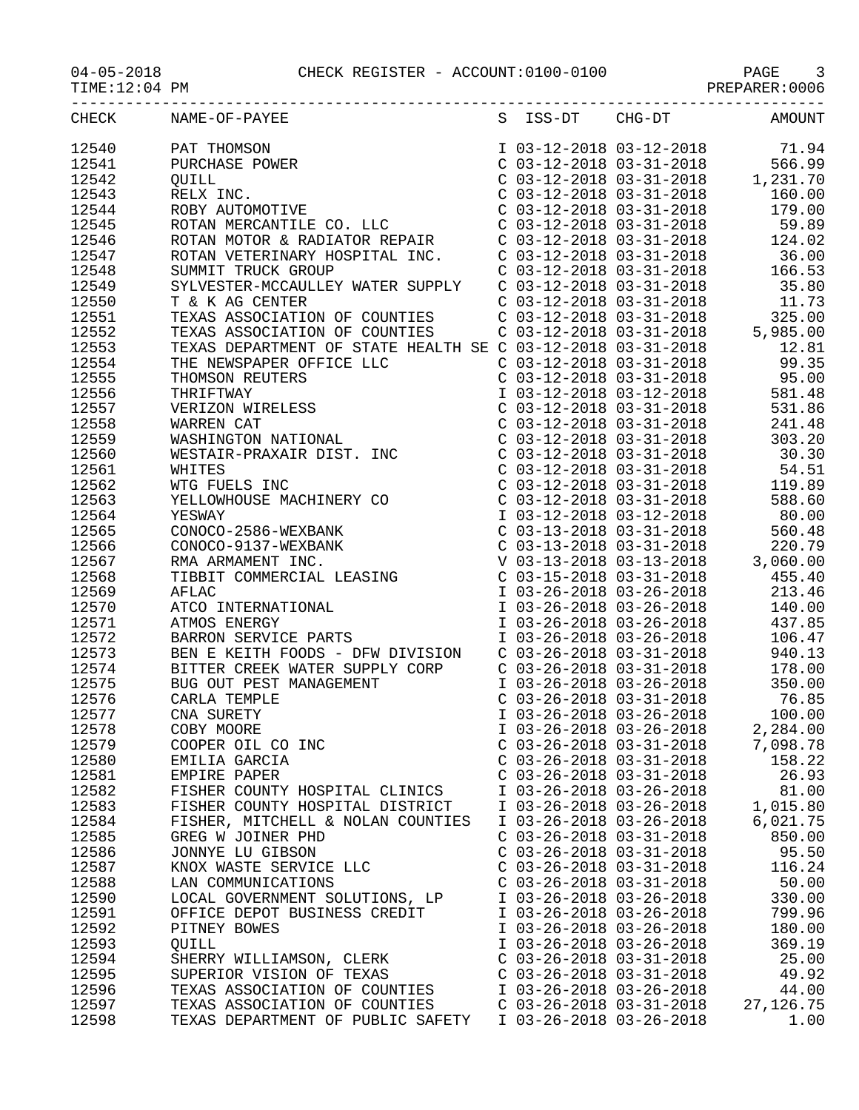|       | CHECK NAME-OF-PAYEE                                       |                           |                         | S ISS-DT CHG-DT AMOUNT |
|-------|-----------------------------------------------------------|---------------------------|-------------------------|------------------------|
| 12540 |                                                           |                           |                         |                        |
| 12541 |                                                           |                           |                         |                        |
| 12542 |                                                           |                           |                         |                        |
| 12543 |                                                           |                           |                         |                        |
|       |                                                           |                           |                         |                        |
| 12544 |                                                           |                           |                         |                        |
| 12545 |                                                           |                           |                         |                        |
| 12546 |                                                           |                           |                         |                        |
| 12547 |                                                           |                           |                         |                        |
| 12548 |                                                           |                           |                         |                        |
| 12549 |                                                           |                           |                         |                        |
| 12550 |                                                           |                           |                         |                        |
| 12551 |                                                           |                           |                         |                        |
| 12552 |                                                           |                           |                         |                        |
| 12553 |                                                           |                           |                         |                        |
|       |                                                           |                           |                         |                        |
| 12554 |                                                           |                           |                         |                        |
| 12555 |                                                           |                           |                         |                        |
| 12556 |                                                           |                           |                         |                        |
| 12557 |                                                           |                           |                         |                        |
| 12558 |                                                           |                           |                         |                        |
| 12559 |                                                           |                           |                         |                        |
| 12560 |                                                           |                           |                         |                        |
| 12561 |                                                           |                           |                         |                        |
| 12562 |                                                           |                           |                         |                        |
| 12563 |                                                           |                           |                         |                        |
| 12564 |                                                           |                           |                         |                        |
| 12565 |                                                           |                           |                         |                        |
|       |                                                           |                           |                         |                        |
| 12566 |                                                           |                           |                         |                        |
| 12567 |                                                           |                           |                         |                        |
| 12568 |                                                           |                           |                         |                        |
| 12569 |                                                           |                           |                         |                        |
| 12570 |                                                           |                           |                         |                        |
| 12571 |                                                           |                           |                         |                        |
| 12572 |                                                           |                           |                         |                        |
| 12573 |                                                           |                           |                         |                        |
| 12574 |                                                           |                           |                         |                        |
| 12575 |                                                           |                           |                         |                        |
| 12576 |                                                           |                           |                         |                        |
| 12577 |                                                           |                           |                         |                        |
|       |                                                           |                           |                         |                        |
| 12578 | COBY MOORE                                                |                           | I 03-26-2018 03-26-2018 | 2,284.00               |
| 12579 | COOPER OIL CO INC                                         | $C$ 03-26-2018 03-31-2018 |                         | 7,098.78               |
| 12580 | EMILIA GARCIA                                             | $C$ 03-26-2018 03-31-2018 |                         | 158.22                 |
| 12581 | EMPIRE PAPER                                              | $C$ 03-26-2018 03-31-2018 |                         | 26.93                  |
| 12582 | FISHER COUNTY HOSPITAL CLINICS                            | I 03-26-2018 03-26-2018   |                         | 81.00                  |
| 12583 | FISHER COUNTY HOSPITAL DISTRICT                           | I 03-26-2018 03-26-2018   |                         | 1,015.80               |
| 12584 | FISHER, MITCHELL & NOLAN COUNTIES                         | I 03-26-2018 03-26-2018   |                         | 6,021.75               |
| 12585 | GREG W JOINER PHD                                         | $C$ 03-26-2018 03-31-2018 |                         | 850.00                 |
| 12586 | JONNYE LU GIBSON                                          | $C$ 03-26-2018 03-31-2018 |                         | 95.50                  |
| 12587 | KNOX WASTE SERVICE LLC                                    | $C$ 03-26-2018 03-31-2018 |                         | 116.24                 |
| 12588 | LAN COMMUNICATIONS                                        | $C$ 03-26-2018 03-31-2018 |                         | 50.00                  |
|       | LOCAL GOVERNMENT SOLUTIONS, LP                            | I 03-26-2018 03-26-2018   |                         |                        |
| 12590 |                                                           |                           |                         | 330.00                 |
| 12591 | OFFICE DEPOT BUSINESS CREDIT                              | I 03-26-2018 03-26-2018   |                         | 799.96                 |
| 12592 | PITNEY BOWES                                              | I 03-26-2018 03-26-2018   |                         | 180.00                 |
| 12593 | QUILL                                                     | I 03-26-2018 03-26-2018   |                         | 369.19                 |
| 12594 | SHERRY WILLIAMSON, CLERK                                  | $C$ 03-26-2018 03-31-2018 |                         | 25.00                  |
| 12595 | SUPERIOR VISION OF TEXAS                                  | $C$ 03-26-2018 03-31-2018 |                         | 49.92                  |
| 12596 | TEXAS ASSOCIATION OF COUNTIES                             | I 03-26-2018 03-26-2018   |                         | 44.00                  |
| 12597 | TEXAS ASSOCIATION OF COUNTIES                             | $C$ 03-26-2018 03-31-2018 |                         | 27, 126. 75            |
| 12598 | TEXAS DEPARTMENT OF PUBLIC SAFETY I 03-26-2018 03-26-2018 |                           |                         | 1.00                   |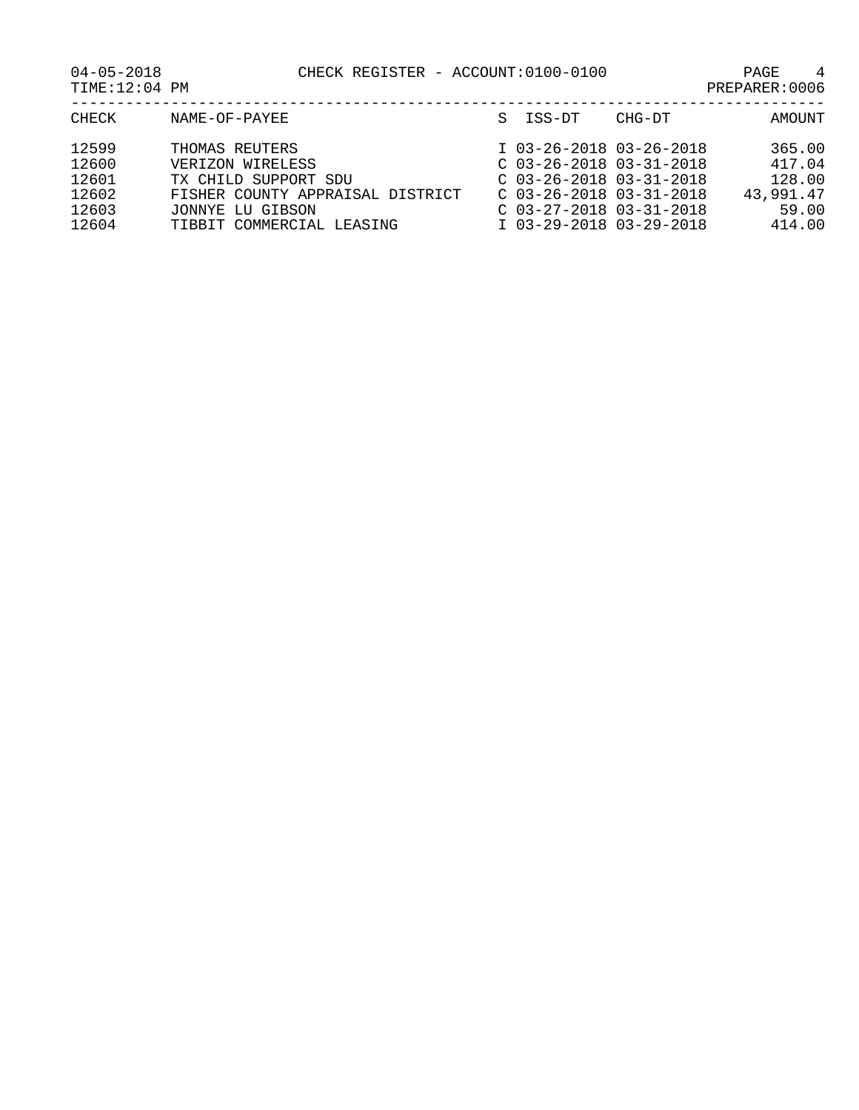| CHECK                                              | NAME-OF-PAYEE                                                                                                                                   | S. | ISS-DT                                                                                                                                                                 | CHG-DT | AMOUNT                                                     |
|----------------------------------------------------|-------------------------------------------------------------------------------------------------------------------------------------------------|----|------------------------------------------------------------------------------------------------------------------------------------------------------------------------|--------|------------------------------------------------------------|
| 12599<br>12600<br>12601<br>12602<br>12603<br>12604 | THOMAS REUTERS<br>VERIZON WIRELESS<br>TX CHILD SUPPORT SDU<br>FISHER COUNTY APPRAISAL DISTRICT<br>JONNYE LU GIBSON<br>TIBBIT COMMERCIAL LEASING |    | I 03-26-2018 03-26-2018<br>$C$ 03-26-2018 03-31-2018<br>$C$ 03-26-2018 03-31-2018<br>$C$ 03-26-2018 03-31-2018<br>$C$ 03-27-2018 03-31-2018<br>I 03-29-2018 03-29-2018 |        | 365.00<br>417.04<br>128.00<br>43,991,47<br>59.00<br>414.00 |
|                                                    |                                                                                                                                                 |    |                                                                                                                                                                        |        |                                                            |